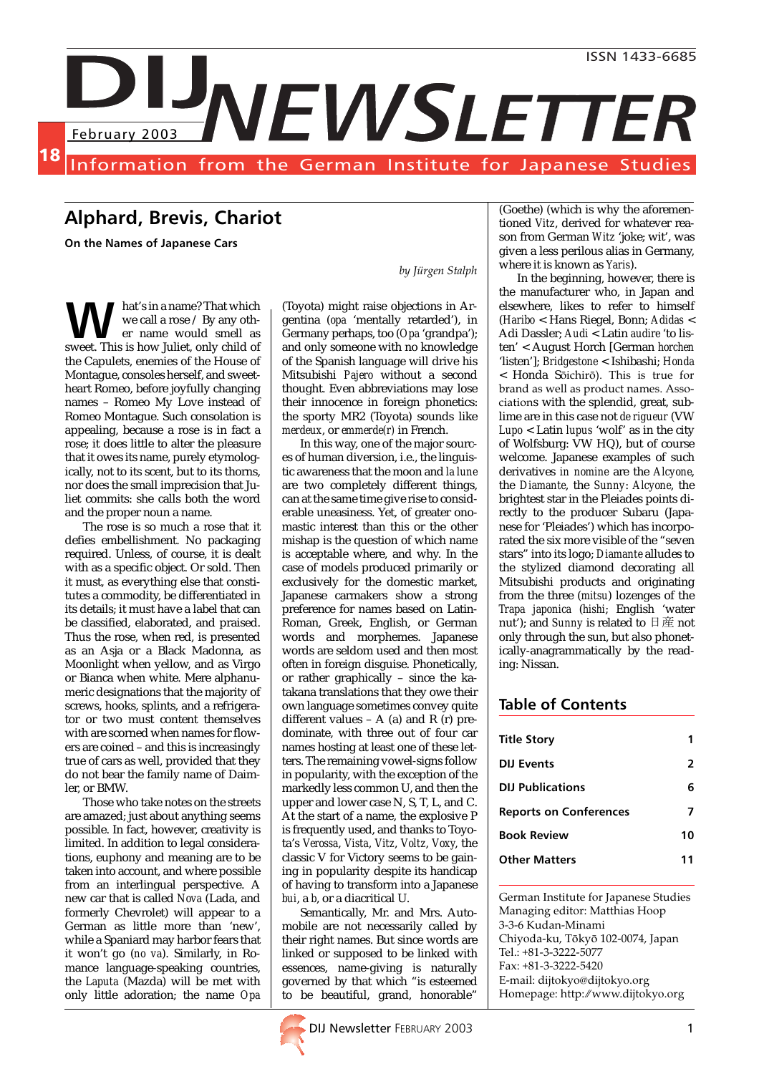

## Alphard, Brevis, Chariot

On the Names of Japanese Cars

hat's in a name? That which we call a rose / By any other name would smell as **M** hat's in a name? That which<br>we call a rose / By any oth-<br>sweet. This is how Juliet, only child of the Capulets, enemies of the House of Montague, consoles herself, and sweetheart Romeo, before joyfully changing names – Romeo My Love instead of Romeo Montague. Such consolation is appealing, because a rose is in fact a rose; it does little to alter the pleasure that it owes its name, purely etymologically, not to its scent, but to its thorns, nor does the small imprecision that Juliet commits: she calls both the word and the proper noun a name.

The rose is so much a rose that it defies embellishment. No packaging required. Unless, of course, it is dealt with as a specific object. Or sold. Then it must, as everything else that constitutes a commodity, be differentiated in its details; it must have a label that can be classified, elaborated, and praised. Thus the rose, when red, is presented as an Asja or a Black Madonna, as Moonlight when yellow, and as Virgo or Bianca when white. Mere alphanumeric designations that the majority of screws, hooks, splints, and a refrigerator or two must content themselves with are scorned when names for flowers are coined – and this is increasingly true of cars as well, provided that they do not bear the family name of Daimler, or BMW.

Those who take notes on the streets are amazed; just about anything seems possible. In fact, however, creativity is limited. In addition to legal considerations, euphony and meaning are to be taken into account, and where possible from an interlingual perspective. A new car that is called *Nova* (Lada, and formerly Chevrolet) will appear to a German as little more than 'new', while a Spaniard may harbor fears that it won't go (*no va*). Similarly, in Romance language-speaking countries, the *Laputa* (Mazda) will be met with only little adoration; the name *Opa*

by Jürgen Stalph

(Toyota) might raise objections in Argentina (*opa* 'mentally retarded'), in Germany perhaps, too (*Opa* 'grandpa'); and only someone with no knowledge of the Spanish language will drive his Mitsubishi *Pajero* without a second thought. Even abbreviations may lose their innocence in foreign phonetics: the sporty MR2 (Toyota) sounds like *merdeux*, or *emmerde(r)* in French.

In this way, one of the major sources of human diversion, i.e., the linguistic awareness that the moon and *la lune* are two completely different things, can at the same time give rise to considerable uneasiness. Yet, of greater onomastic interest than this or the other mishap is the question of which name is acceptable where, and why. In the case of models produced primarily or exclusively for the domestic market, Japanese carmakers show a strong preference for names based on Latin-Roman, Greek, English, or German words and morphemes. Japanese words are seldom used and then most often in foreign disguise. Phonetically, or rather graphically – since the katakana translations that they owe their own language sometimes convey quite different values – A (a) and R  $(r)$  predominate, with three out of four car names hosting at least one of these letters. The remaining vowel-signs follow in popularity, with the exception of the markedly less common U, and then the upper and lower case N, S, T, L, and C. At the start of a name, the explosive P is frequently used, and thanks to Toyota's *Verossa*, *Vista*, *Vitz*, *Voltz*, *Voxy*, the classic V for Victory seems to be gaining in popularity despite its handicap of having to transform into a Japanese *bui*, a *b*, or a diacritical U.

Semantically, Mr. and Mrs. Automobile are not necessarily called by their right names. But since words are linked or supposed to be linked with essences, name-giving is naturally governed by that which "is esteemed to be beautiful, grand, honorable"



(Goethe) (which is why the aforementioned *Vitz*, derived for whatever reason from German *Witz* 'joke; wit', was given a less perilous alias in Germany, where it is known as *Yaris*).

In the beginning, however, there is the manufacturer who, in Japan and elsewhere, likes to refer to himself (*Haribo* < Hans Riegel, Bonn; *Adidas* < Adi Dassler; *Audi* < Latin *audire* 'to listen' < August Horch [German *horchen* 'listen']; *Bridgestone* < Ishibashi; *Honda* < Honda Sôichirô). This is true for brand as well as product names. Associations with the splendid, great, sublime are in this case not *de rigueur* (VW *Lupo* < Latin *lupus* 'wolf' as in the city of Wolfsburg: VW HQ), but of course welcome. Japanese examples of such derivatives *in nomine* are the *Alcyone*, the *Diamante*, the *Sunny*: *Alcyone*, the brightest star in the Pleiades points directly to the producer Subaru (Japanese for 'Pleiades') which has incorporated the six more visible of the "seven stars" into its logo; *Diamante* alludes to the stylized diamond decorating all Mitsubishi products and originating from the three (*mitsu*) lozenges of the *Trapa japonica* (*hishi*; English 'water nut'); and *Sunny* is related to 日産 not only through the sun, but also phonetically-anagrammatically by the reading: Nissan.

#### Table of Contents

| <b>Title Story</b>            |    |
|-------------------------------|----|
| <b>DIJ Events</b>             | 2  |
| <b>DIJ Publications</b>       | 6  |
| <b>Reports on Conferences</b> | 7  |
| <b>Book Review</b>            | 10 |
| <b>Other Matters</b>          |    |

German Institute for Japanese Studies Managing editor: Matthias Hoop 3-3-6 Kudan-Minami Chiyoda-ku, Tôkyô 102-0074, Japan Tel.: +81-3-3222-5077 Fax: +81-3-3222-5420 E-mail: dijtokyo@dijtokyo.org Homepage: http:➶www.dijtokyo.org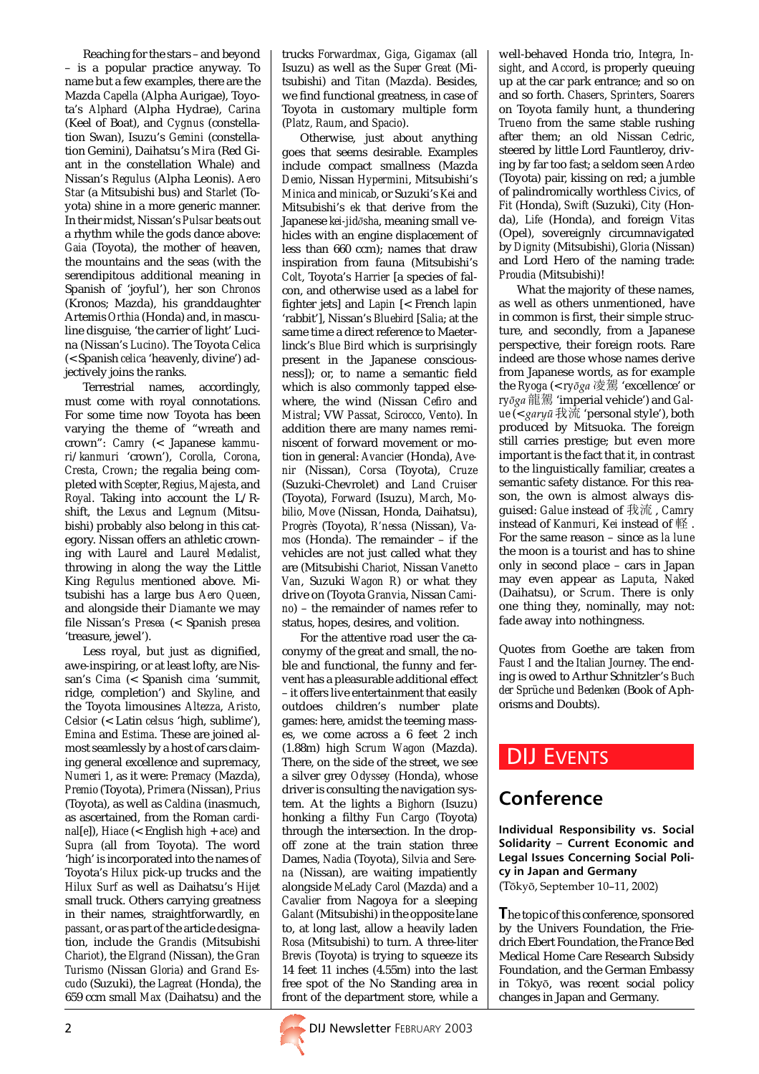Reaching for the stars – and beyond – is a popular practice anyway. To name but a few examples, there are the Mazda *Capella* (Alpha Aurigae), Toyota's *Alphard* (Alpha Hydrae), *Carina* (Keel of Boat), and *Cygnus* (constellation Swan), Isuzu's *Gemini* (constellation Gemini), Daihatsu's *Mira* (Red Giant in the constellation Whale) and Nissan's *Regulus* (Alpha Leonis). *Aero Star* (a Mitsubishi bus) and *Starlet* (Toyota) shine in a more generic manner. In their midst, Nissan's *Pulsar* beats out a rhythm while the gods dance above: *Gaia* (Toyota), the mother of heaven, the mountains and the seas (with the serendipitous additional meaning in Spanish of 'joyful'), her son *Chronos* (Kronos; Mazda), his granddaughter Artemis *Orthia* (Honda) and, in masculine disguise, 'the carrier of light' Lucina (Nissan's *Lucino*). The Toyota *Celica* (< Spanish *celica* 'heavenly, divine') adjectively joins the ranks.

Terrestrial names, accordingly, must come with royal connotations. For some time now Toyota has been varying the theme of "wreath and crown": *Camry* (< Japanese *kammuri*/*kanmuri* 'crown'), *Corolla*, *Corona*, *Cresta*, *Crown*; the regalia being completed with *Scepter*, *Regius*, *Majesta*, and *Royal*. Taking into account the L/Rshift, the *Lexus* and *Legnum* (Mitsubishi) probably also belong in this category. Nissan offers an athletic crowning with *Laurel* and *Laurel Medalist*, throwing in along the way the Little King *Regulus* mentioned above. Mitsubishi has a large bus *Aero Queen*, and alongside their *Diamante* we may file Nissan's *Presea* (< Spanish *presea* 'treasure, jewel').

Less royal, but just as dignified, awe-inspiring, or at least lofty, are Nissan's *Cima* (< Spanish *cima* 'summit, ridge, completion') and *Skyline*, and the Toyota limousines *Altezza*, *Aristo*, *Celsior* (< Latin *celsus* 'high, sublime'), *Emina* and *Estima*. These are joined almost seamlessly by a host of cars claiming general excellence and supremacy, *Numeri 1*, as it were: *Premacy* (Mazda), *Premio* (Toyota), *Primera* (Nissan), *Prius* (Toyota), as well as *Caldina* (inasmuch, as ascertained, from the Roman *cardinal*[*e*]), *Hiace* (< English *high* + *ace*) and *Supra* (all from Toyota). The word 'high' is incorporated into the names of Toyota's *Hilux* pick-up trucks and the *Hilux Surf* as well as Daihatsu's *Hijet* small truck. Others carrying greatness in their names, straightforwardly, *en passant*, or as part of the article designation, include the *Grandis* (Mitsubishi *Chariot*), the *Elgrand* (Nissan), the *Gran Turismo* (Nissan *Gloria*) and *Grand Escudo* (Suzuki), the *Lagreat* (Honda), the 659 ccm small *Max* (Daihatsu) and the

trucks *Forwardmax*, *Giga*, *Gigamax* (all Isuzu) as well as the *Super Great* (Mitsubishi) and *Titan* (Mazda). Besides, we find functional greatness, in case of Toyota in customary multiple form (*Platz, Raum*, and *Spacio*).

Otherwise, just about anything goes that seems desirable. Examples include compact smallness (Mazda *Demio*, Nissan *Hypermini*, Mitsubishi's *Minica* and *minicab*, or Suzuki's *Kei* and Mitsubishi's *ek* that derive from the Japanese *kei-jid*ô*sha*, meaning small vehicles with an engine displacement of less than 660 ccm); names that draw inspiration from fauna (Mitsubishi's *Colt*, Toyota's *Harrier* [a species of falcon, and otherwise used as a label for fighter jets] and *Lapin* [< French *lapin* 'rabbit'], Nissan's *Bluebird* [*Salia*; at the same time a direct reference to Maeterlinck's *Blue Bird* which is surprisingly present in the Japanese consciousness]); or, to name a semantic field which is also commonly tapped elsewhere, the wind (Nissan *Cefiro* and *Mistral*; VW *Passat*, *Scirocco*, *Vento*). In addition there are many names reminiscent of forward movement or motion in general: *Avancier* (Honda), *Avenir* (Nissan), *Corsa* (Toyota), *Cruze* (Suzuki-Chevrolet) and *Land Cruiser* (Toyota), *Forward* (Isuzu), *March*, *Mobilio*, *Move* (Nissan, Honda, Daihatsu), *Progrès* (Toyota), *R'nessa* (Nissan), *Vamos* (Honda). The remainder – if the vehicles are not just called what they are (Mitsubishi *Chariot,* Nissan *Vanetto Van*, Suzuki *Wagon R*) or what they drive on (Toyota *Granvia*, Nissan *Camino*) – the remainder of names refer to status, hopes, desires, and volition.

For the attentive road user the caconymy of the great and small, the noble and functional, the funny and fervent has a pleasurable additional effect – it offers live entertainment that easily outdoes children's number plate games: here, amidst the teeming masses, we come across a 6 feet 2 inch (1.88m) high *Scrum Wagon* (Mazda). There, on the side of the street, we see a silver grey *Odyssey* (Honda), whose driver is consulting the navigation system. At the lights a *Bighorn* (Isuzu) honking a filthy *Fun Cargo* (Toyota) through the intersection. In the dropoff zone at the train station three Dames, *Nadia* (Toyota), *Silvia* and *Serena* (Nissan), are waiting impatiently alongside *MeLady Carol* (Mazda) and a *Cavalier* from Nagoya for a sleeping *Galant* (Mitsubishi) in the opposite lane to, at long last, allow a heavily laden *Rosa* (Mitsubishi) to turn. A three-liter *Brevis* (Toyota) is trying to squeeze its 14 feet 11 inches (4.55m) into the last free spot of the No Standing area in front of the department store, while a well-behaved Honda trio, *Integra*, *Insight*, and *Accord*, is properly queuing up at the car park entrance; and so on and so forth. *Chasers*, *Sprinters*, *Soarers* on Toyota family hunt, a thundering *Trueno* from the same stable rushing after them; an old Nissan *Cedric*, steered by little Lord Fauntleroy, driving by far too fast; a seldom seen *Ardeo* (Toyota) pair, kissing on red; a jumble of palindromically worthless *Civics*, of *Fit* (Honda), *Swift* (Suzuki), *City* (Honda), *Life* (Honda), and foreign *Vitas* (Opel), sovereignly circumnavigated by *Dignity* (Mitsubishi), *Gloria* (Nissan) and Lord Hero of the naming trade: *Proudia* (Mitsubishi)!

What the majority of these names, as well as others unmentioned, have in common is first, their simple structure, and secondly, from a Japanese perspective, their foreign roots. Rare indeed are those whose names derive from Japanese words, as for example the *Ryoga* (< *ry*ôga 凌駕 'excellence' or *ry*ôga 龍駕 'imperial vehicle') and *Gal* $ue \leq \text{garyn}$   $\mathcal{R} \times \mathcal{R}$  'personal style'), both produced by Mitsuoka. The foreign still carries prestige; but even more important is the fact that it, in contrast to the linguistically familiar, creates a semantic safety distance. For this reason, the own is almost always disguised: *Galue* instead of 我流 , *Camry* instead of *Kanmuri*, *Kei* instead of 軽 . For the same reason – since as *la lune* the moon is a tourist and has to shine only in second place – cars in Japan may even appear as *Laputa*, *Naked* (Daihatsu), or *Scrum*. There is only one thing they, nominally, may not: fade away into nothingness.

Quotes from Goethe are taken from *Faust I* and the *Italian Journey*. The ending is owed to Arthur Schnitzler's *Buch der Sprüche und Bedenken* (Book of Aphorisms and Doubts).

## DIJ EVENTS

# Conference

Individual Responsibility vs. Social Solidarity – Current Economic and Legal Issues Concerning Social Policy in Japan and Germany (Tôkyô, September 10–11, 2002)

The topic of this conference, sponsored by the Univers Foundation, the Friedrich Ebert Foundation, the France Bed Medical Home Care Research Subsidy Foundation, and the German Embassy in Tôkyô, was recent social policy changes in Japan and Germany.

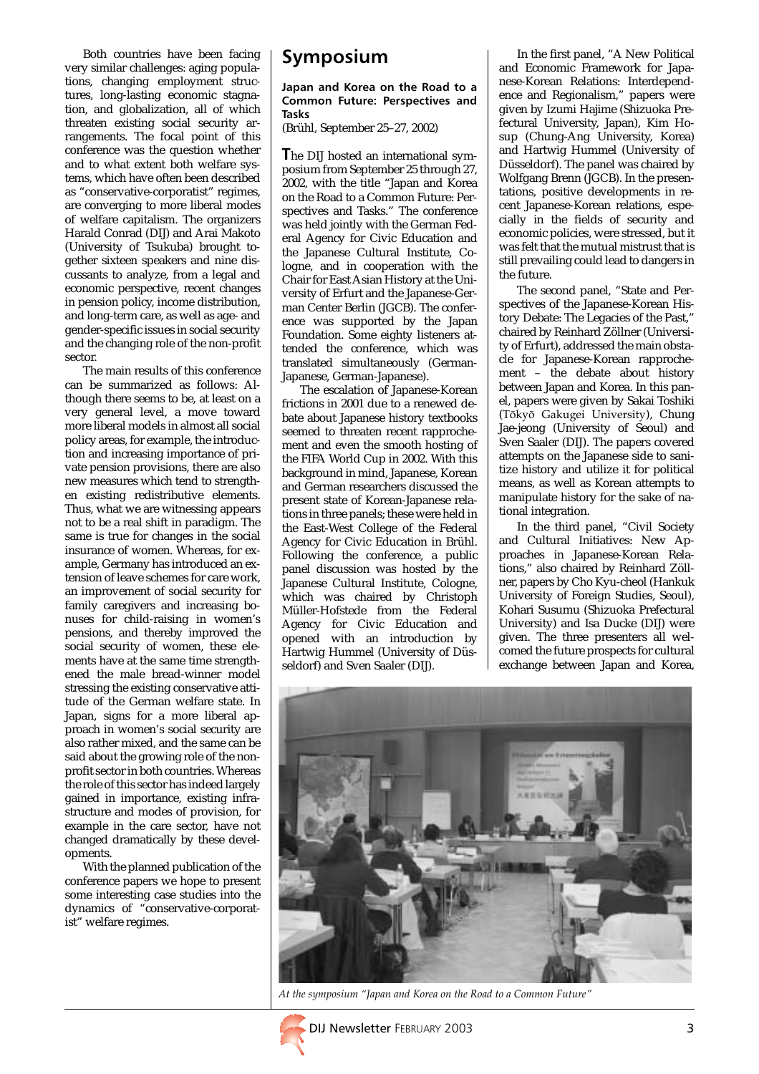Both countries have been facing very similar challenges: aging populations, changing employment structures, long-lasting economic stagnation, and globalization, all of which threaten existing social security arrangements. The focal point of this conference was the question whether and to what extent both welfare systems, which have often been described as "conservative-corporatist" regimes, are converging to more liberal modes of welfare capitalism. The organizers Harald Conrad (DIJ) and Arai Makoto (University of Tsukuba) brought together sixteen speakers and nine discussants to analyze, from a legal and economic perspective, recent changes in pension policy, income distribution, and long-term care, as well as age- and gender-specific issues in social security and the changing role of the non-profit sector.

The main results of this conference can be summarized as follows: Although there seems to be, at least on a very general level, a move toward more liberal models in almost all social policy areas, for example, the introduction and increasing importance of private pension provisions, there are also new measures which tend to strengthen existing redistributive elements. Thus, what we are witnessing appears not to be a real shift in paradigm. The same is true for changes in the social insurance of women. Whereas, for example, Germany has introduced an extension of leave schemes for care work, an improvement of social security for family caregivers and increasing bonuses for child-raising in women's pensions, and thereby improved the social security of women, these elements have at the same time strengthened the male bread-winner model stressing the existing conservative attitude of the German welfare state. In Japan, signs for a more liberal approach in women's social security are also rather mixed, and the same can be said about the growing role of the nonprofit sector in both countries. Whereas the role of this sector has indeed largely gained in importance, existing infrastructure and modes of provision, for example in the care sector, have not changed dramatically by these developments.

With the planned publication of the conference papers we hope to present some interesting case studies into the dynamics of "conservative-corporatist" welfare regimes.

## Symposium

#### Japan and Korea on the Road to a Common Future: Perspectives and Tasks

(Brühl, September 25–27, 2002)

The DIJ hosted an international symposium from September 25 through 27, 2002, with the title "Japan and Korea on the Road to a Common Future: Perspectives and Tasks." The conference was held jointly with the German Federal Agency for Civic Education and the Japanese Cultural Institute, Cologne, and in cooperation with the Chair for East Asian History at the University of Erfurt and the Japanese-German Center Berlin (JGCB). The conference was supported by the Japan Foundation. Some eighty listeners attended the conference, which was translated simultaneously (German-Japanese, German-Japanese).

The escalation of Japanese-Korean frictions in 2001 due to a renewed debate about Japanese history textbooks seemed to threaten recent rapprochement and even the smooth hosting of the FIFA World Cup in 2002. With this background in mind, Japanese, Korean and German researchers discussed the present state of Korean-Japanese relations in three panels; these were held in the East-West College of the Federal Agency for Civic Education in Brühl. Following the conference, a public panel discussion was hosted by the Japanese Cultural Institute, Cologne, which was chaired by Christoph Müller-Hofstede from the Federal Agency for Civic Education and opened with an introduction by Hartwig Hummel (University of Düsseldorf) and Sven Saaler (DIJ).

In the first panel, "A New Political and Economic Framework for Japanese-Korean Relations: Interdependence and Regionalism," papers were given by Izumi Hajime (Shizuoka Prefectural University, Japan), Kim Hosup (Chung-Ang University, Korea) and Hartwig Hummel (University of Düsseldorf). The panel was chaired by Wolfgang Brenn (JGCB). In the presentations, positive developments in recent Japanese-Korean relations, especially in the fields of security and economic policies, were stressed, but it was felt that the mutual mistrust that is still prevailing could lead to dangers in the future.

The second panel, "State and Perspectives of the Japanese-Korean History Debate: The Legacies of the Past," chaired by Reinhard Zöllner (University of Erfurt), addressed the main obstacle for Japanese-Korean rapprochement – the debate about history between Japan and Korea. In this panel, papers were given by Sakai Toshiki (Tôkyô Gakugei University), Chung Jae-jeong (University of Seoul) and Sven Saaler (DIJ). The papers covered attempts on the Japanese side to sanitize history and utilize it for political means, as well as Korean attempts to manipulate history for the sake of national integration.

In the third panel, "Civil Society and Cultural Initiatives: New Approaches in Japanese-Korean Relations," also chaired by Reinhard Zöllner, papers by Cho Kyu-cheol (Hankuk University of Foreign Studies, Seoul), Kohari Susumu (Shizuoka Prefectural University) and Isa Ducke (DIJ) were given. The three presenters all welcomed the future prospects for cultural exchange between Japan and Korea,



At the symposium "Japan and Korea on the Road to a Common Future"

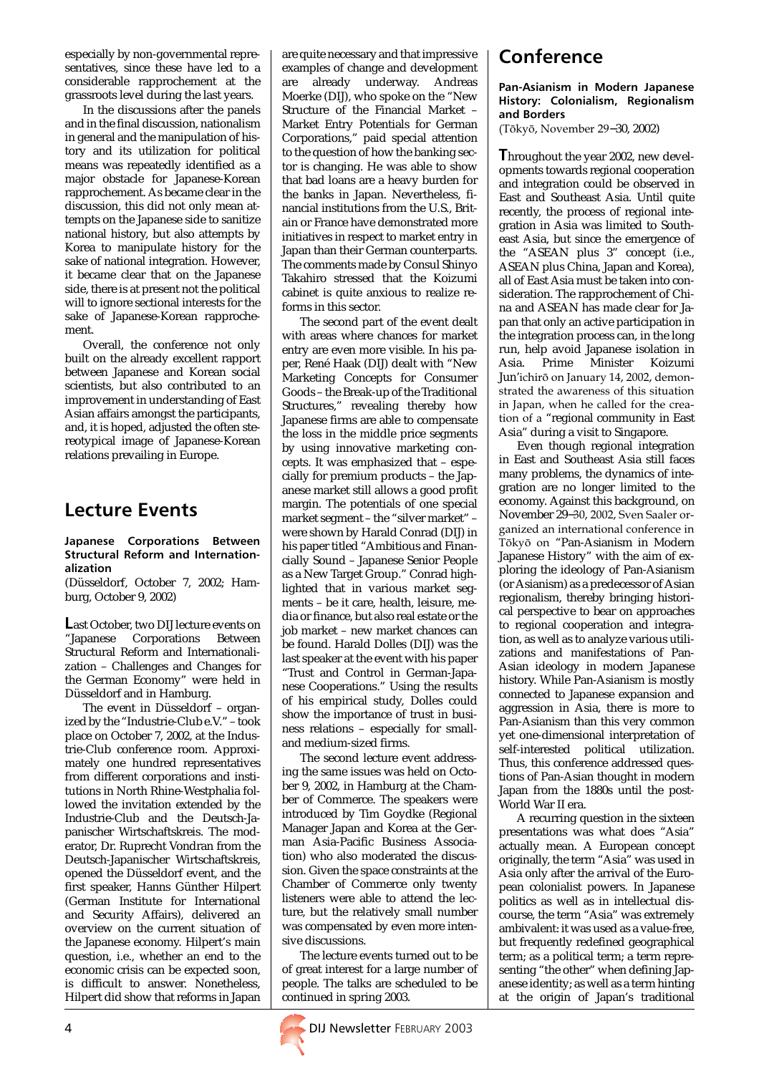especially by non-governmental representatives, since these have led to a considerable rapprochement at the grassroots level during the last years.

In the discussions after the panels and in the final discussion, nationalism in general and the manipulation of history and its utilization for political means was repeatedly identified as a major obstacle for Japanese-Korean rapprochement. As became clear in the discussion, this did not only mean attempts on the Japanese side to sanitize national history, but also attempts by Korea to manipulate history for the sake of national integration. However, it became clear that on the Japanese side, there is at present not the political will to ignore sectional interests for the sake of Japanese-Korean rapprochement.

Overall, the conference not only built on the already excellent rapport between Japanese and Korean social scientists, but also contributed to an improvement in understanding of East Asian affairs amongst the participants, and, it is hoped, adjusted the often stereotypical image of Japanese-Korean relations prevailing in Europe.

### Lecture Events

Japanese Corporations Between Structural Reform and Internationalization

(Düsseldorf, October 7, 2002; Hamburg, October 9, 2002)

Last October, two DIJ lecture events on "Japanese Corporations Between Structural Reform and Internationalization – Challenges and Changes for the German Economy" were held in Düsseldorf and in Hamburg.

The event in Düsseldorf – organized by the "Industrie-Club e.V." – took place on October 7, 2002, at the Industrie-Club conference room. Approximately one hundred representatives from different corporations and institutions in North Rhine-Westphalia followed the invitation extended by the Industrie-Club and the Deutsch-Japanischer Wirtschaftskreis. The moderator, Dr. Ruprecht Vondran from the Deutsch-Japanischer Wirtschaftskreis, opened the Düsseldorf event, and the first speaker, Hanns Günther Hilpert (German Institute for International and Security Affairs), delivered an overview on the current situation of the Japanese economy. Hilpert's main question, i.e., whether an end to the economic crisis can be expected soon, is difficult to answer. Nonetheless, Hilpert did show that reforms in Japan are quite necessary and that impressive examples of change and development are already underway. Andreas Moerke (DIJ), who spoke on the "New Structure of the Financial Market – Market Entry Potentials for German Corporations," paid special attention to the question of how the banking sector is changing. He was able to show that bad loans are a heavy burden for the banks in Japan. Nevertheless, financial institutions from the U.S., Britain or France have demonstrated more initiatives in respect to market entry in Japan than their German counterparts. The comments made by Consul Shinyo Takahiro stressed that the Koizumi cabinet is quite anxious to realize reforms in this sector.

The second part of the event dealt with areas where chances for market entry are even more visible. In his paper, René Haak (DIJ) dealt with "New Marketing Concepts for Consumer Goods – the Break-up of the Traditional Structures," revealing thereby how Japanese firms are able to compensate the loss in the middle price segments by using innovative marketing concepts. It was emphasized that – especially for premium products – the Japanese market still allows a good profit margin. The potentials of one special market segment – the "silver market" – were shown by Harald Conrad (DIJ) in his paper titled "Ambitious and Financially Sound – Japanese Senior People as a New Target Group." Conrad highlighted that in various market segments – be it care, health, leisure, media or finance, but also real estate or the job market – new market chances can be found. Harald Dolles (DIJ) was the last speaker at the event with his paper "Trust and Control in German-Japanese Cooperations." Using the results of his empirical study, Dolles could show the importance of trust in business relations – especially for smalland medium-sized firms.

The second lecture event addressing the same issues was held on October 9, 2002, in Hamburg at the Chamber of Commerce. The speakers were introduced by Tim Goydke (Regional Manager Japan and Korea at the German Asia-Pacific Business Association) who also moderated the discussion. Given the space constraints at the Chamber of Commerce only twenty listeners were able to attend the lecture, but the relatively small number was compensated by even more intensive discussions.

The lecture events turned out to be of great interest for a large number of people. The talks are scheduled to be continued in spring 2003.

## Conference

#### Pan-Asianism in Modern Japanese History: Colonialism, Regionalism and Borders

(Tôkyô, November 29−30, 2002)

Throughout the year 2002, new developments towards regional cooperation and integration could be observed in East and Southeast Asia. Until quite recently, the process of regional integration in Asia was limited to Southeast Asia, but since the emergence of the "ASEAN plus 3" concept (i.e., ASEAN plus China, Japan and Korea), all of East Asia must be taken into consideration. The rapprochement of China and ASEAN has made clear for Japan that only an active participation in the integration process can, in the long run, help avoid Japanese isolation in Asia. Prime Minister Koizumi Jun'ichirô on January 14, 2002, demonstrated the awareness of this situation in Japan, when he called for the creation of a "regional community in East Asia" during a visit to Singapore.

Even though regional integration in East and Southeast Asia still faces many problems, the dynamics of integration are no longer limited to the economy. Against this background, on November 29−30, 2002, Sven Saaler organized an international conference in Tôkyô on "Pan-Asianism in Modern Japanese History" with the aim of exploring the ideology of Pan-Asianism (or Asianism) as a predecessor of Asian regionalism, thereby bringing historical perspective to bear on approaches to regional cooperation and integration, as well as to analyze various utilizations and manifestations of Pan-Asian ideology in modern Japanese history. While Pan-Asianism is mostly connected to Japanese expansion and aggression in Asia, there is more to Pan-Asianism than this very common yet one-dimensional interpretation of self-interested political utilization. Thus, this conference addressed questions of Pan-Asian thought in modern Japan from the 1880s until the post-World War II era.

A recurring question in the sixteen presentations was what does "Asia" actually mean. A European concept originally, the term "Asia" was used in Asia only after the arrival of the European colonialist powers. In Japanese politics as well as in intellectual discourse, the term "Asia" was extremely ambivalent: it was used as a value-free, but frequently redefined geographical term; as a political term; a term representing "the other" when defining Japanese identity; as well as a term hinting at the origin of Japan's traditional

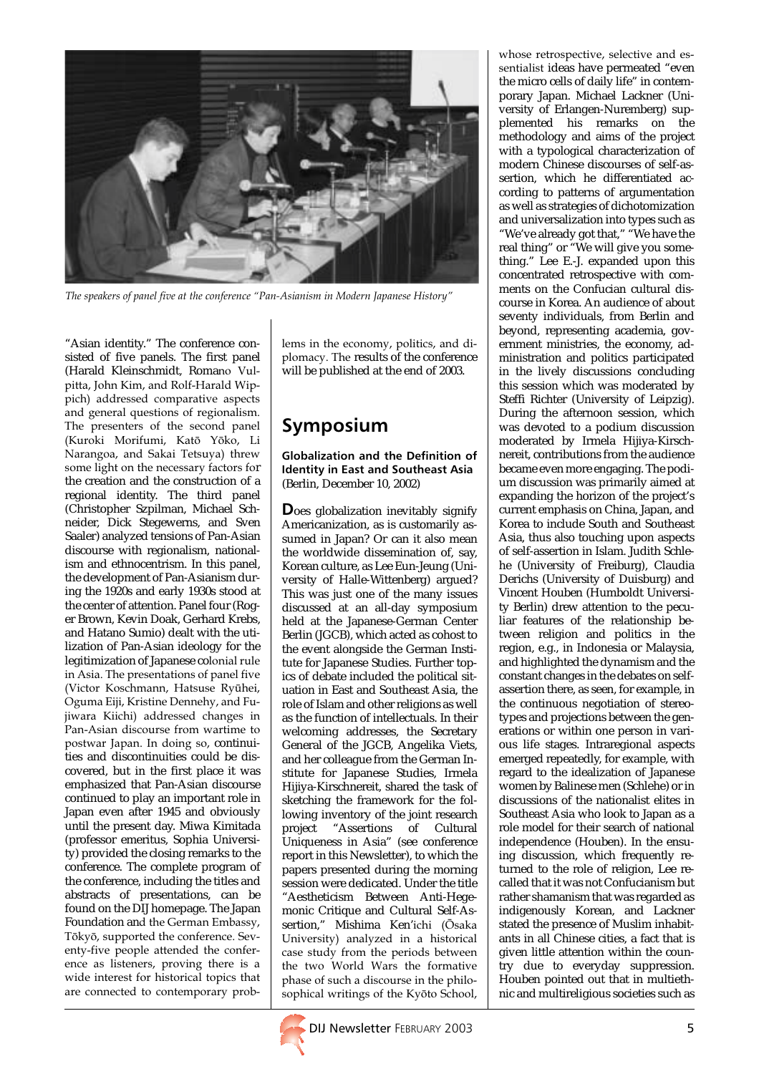

The speakers of panel five at the conference "Pan-Asianism in Modern Japanese History"

"Asian identity." The conference consisted of five panels. The first panel (Harald Kleinschmidt, Romano Vulpitta, John Kim, and Rolf-Harald Wippich) addressed comparative aspects and general questions of regionalism. The presenters of the second panel (Kuroki Morifumi, Katô Yôko, Li Narangoa, and Sakai Tetsuya) threw some light on the necessary factors for the creation and the construction of a regional identity. The third panel (Christopher Szpilman, Michael Schneider, Dick Stegewerns, and Sven Saaler) analyzed tensions of Pan-Asian discourse with regionalism, nationalism and ethnocentrism. In this panel, the development of Pan-Asianism during the 1920s and early 1930s stood at the center of attention. Panel four (Roger Brown, Kevin Doak, Gerhard Krebs, and Hatano Sumio) dealt with the utilization of Pan-Asian ideology for the legitimization of Japanese colonial rule in Asia. The presentations of panel five (Victor Koschmann, Hatsuse Ryûhei, Oguma Eiji, Kristine Dennehy, and Fujiwara Kiichi) addressed changes in Pan-Asian discourse from wartime to postwar Japan. In doing so, continuities and discontinuities could be discovered, but in the first place it was emphasized that Pan-Asian discourse continued to play an important role in Japan even after 1945 and obviously until the present day. Miwa Kimitada (professor emeritus, Sophia University) provided the closing remarks to the conference. The complete program of the conference, including the titles and abstracts of presentations, can be found on the DIJ homepage. The Japan Foundation and the German Embassy, Tôkyô, supported the conference. Seventy-five people attended the conference as listeners, proving there is a wide interest for historical topics that are connected to contemporary problems in the economy, politics, and diplomacy. The results of the conference will be published at the end of 2003.

# Symposium

#### Globalization and the Definition of Identity in East and Southeast Asia (Berlin, December 10, 2002)

Does globalization inevitably signify Americanization, as is customarily assumed in Japan? Or can it also mean the worldwide dissemination of, say, Korean culture, as Lee Eun-Jeung (University of Halle-Wittenberg) argued? This was just one of the many issues discussed at an all-day symposium held at the Japanese-German Center Berlin (JGCB), which acted as cohost to the event alongside the German Institute for Japanese Studies. Further topics of debate included the political situation in East and Southeast Asia, the role of Islam and other religions as well as the function of intellectuals. In their welcoming addresses, the Secretary General of the JGCB, Angelika Viets, and her colleague from the German Institute for Japanese Studies, Irmela Hijiya-Kirschnereit, shared the task of sketching the framework for the following inventory of the joint research project "Assertions of Cultural Uniqueness in Asia" (see conference report in this Newsletter), to which the papers presented during the morning session were dedicated. Under the title "Aestheticism Between Anti-Hegemonic Critique and Cultural Self-Assertion," Mishima Ken'ichi (Ôsaka University) analyzed in a historical case study from the periods between the two World Wars the formative phase of such a discourse in the philosophical writings of the Kyôto School,

whose retrospective, selective and essentialist ideas have permeated "even the micro cells of daily life" in contemporary Japan. Michael Lackner (University of Erlangen-Nuremberg) supplemented his remarks on the methodology and aims of the project with a typological characterization of modern Chinese discourses of self-assertion, which he differentiated according to patterns of argumentation as well as strategies of dichotomization and universalization into types such as "We've already got that," "We have the real thing" or "We will give you something." Lee E.-J. expanded upon this concentrated retrospective with comments on the Confucian cultural discourse in Korea. An audience of about seventy individuals, from Berlin and beyond, representing academia, government ministries, the economy, administration and politics participated in the lively discussions concluding this session which was moderated by Steffi Richter (University of Leipzig). During the afternoon session, which was devoted to a podium discussion moderated by Irmela Hijiya-Kirschnereit, contributions from the audience became even more engaging. The podium discussion was primarily aimed at expanding the horizon of the project's current emphasis on China, Japan, and Korea to include South and Southeast Asia, thus also touching upon aspects of self-assertion in Islam. Judith Schlehe (University of Freiburg), Claudia Derichs (University of Duisburg) and Vincent Houben (Humboldt University Berlin) drew attention to the peculiar features of the relationship between religion and politics in the region, e.g., in Indonesia or Malaysia, and highlighted the dynamism and the constant changes in the debates on selfassertion there, as seen, for example, in the continuous negotiation of stereotypes and projections between the generations or within one person in various life stages. Intraregional aspects emerged repeatedly, for example, with regard to the idealization of Japanese women by Balinese men (Schlehe) or in discussions of the nationalist elites in Southeast Asia who look to Japan as a role model for their search of national independence (Houben). In the ensuing discussion, which frequently returned to the role of religion, Lee recalled that it was not Confucianism but rather shamanism that was regarded as indigenously Korean, and Lackner stated the presence of Muslim inhabitants in all Chinese cities, a fact that is given little attention within the country due to everyday suppression. Houben pointed out that in multiethnic and multireligious societies such as

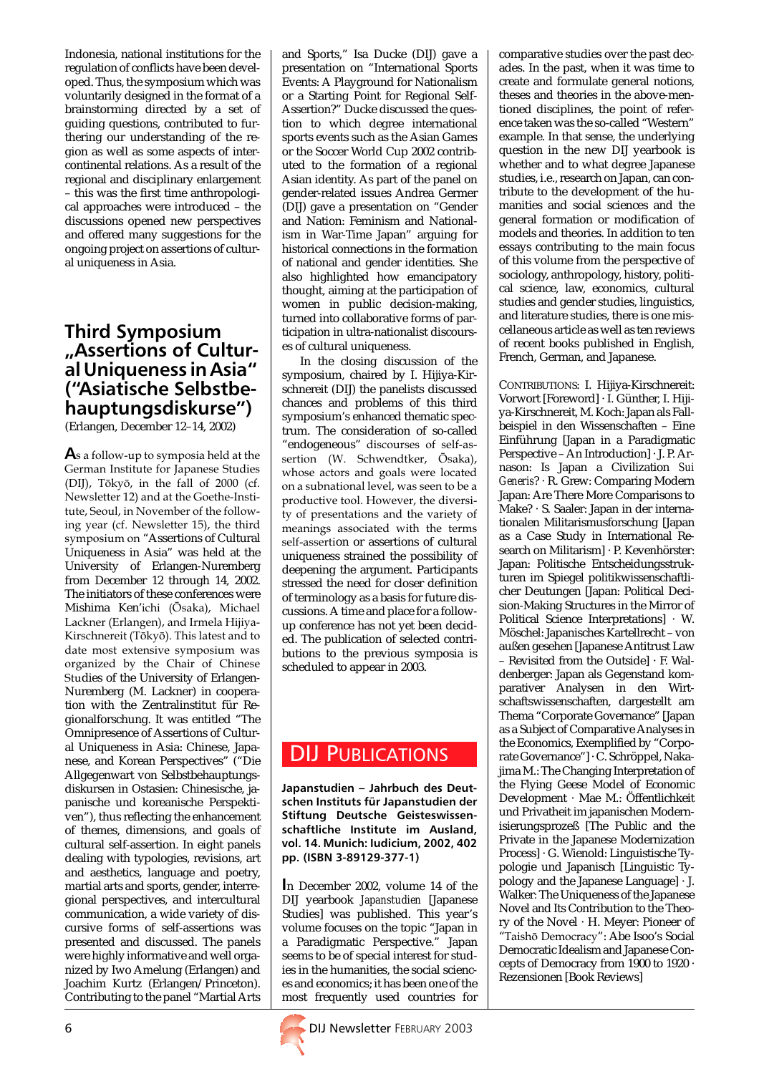Indonesia, national institutions for the regulation of conflicts have been developed. Thus, the symposium which was voluntarily designed in the format of a brainstorming directed by a set of guiding questions, contributed to furthering our understanding of the region as well as some aspects of intercontinental relations. As a result of the regional and disciplinary enlargement – this was the first time anthropological approaches were introduced – the discussions opened new perspectives and offered many suggestions for the ongoing project on assertions of cultural uniqueness in Asia.

### Third Symposium "Assertions of Cultural Uniqueness in Asia" ("Asiatische Selbstbehauptungsdiskurse")

(Erlangen, December 12–14, 2002)

As a follow-up to symposia held at the German Institute for Japanese Studies (DIJ), Tôkyô, in the fall of 2000 (cf. Newsletter 12) and at the Goethe-Institute, Seoul, in November of the following year (cf. Newsletter 15), the third symposium on "Assertions of Cultural Uniqueness in Asia" was held at the University of Erlangen-Nuremberg from December 12 through 14, 2002. The initiators of these conferences were Mishima Ken'ichi (Ôsaka), Michael Lackner (Erlangen), and Irmela Hijiya-Kirschnereit (Tôkyô). This latest and to date most extensive symposium was organized by the Chair of Chinese Studies of the University of Erlangen-Nuremberg (M. Lackner) in cooperation with the Zentralinstitut für Regionalforschung. It was entitled "The Omnipresence of Assertions of Cultural Uniqueness in Asia: Chinese, Japanese, and Korean Perspectives" ("Die Allgegenwart von Selbstbehauptungsdiskursen in Ostasien: Chinesische, japanische und koreanische Perspektiven"), thus reflecting the enhancement of themes, dimensions, and goals of cultural self-assertion. In eight panels dealing with typologies, revisions, art and aesthetics, language and poetry, martial arts and sports, gender, interregional perspectives, and intercultural communication, a wide variety of discursive forms of self-assertions was presented and discussed. The panels were highly informative and well organized by Iwo Amelung (Erlangen) and Joachim Kurtz (Erlangen/Princeton). Contributing to the panel "Martial Arts

and Sports," Isa Ducke (DIJ) gave a presentation on "International Sports Events: A Playground for Nationalism or a Starting Point for Regional Self-Assertion?" Ducke discussed the question to which degree international sports events such as the Asian Games or the Soccer World Cup 2002 contributed to the formation of a regional Asian identity. As part of the panel on gender-related issues Andrea Germer (DIJ) gave a presentation on "Gender and Nation: Feminism and Nationalism in War-Time Japan" arguing for historical connections in the formation of national and gender identities. She also highlighted how emancipatory thought, aiming at the participation of women in public decision-making, turned into collaborative forms of participation in ultra-nationalist discourses of cultural uniqueness.

In the closing discussion of the symposium, chaired by I. Hijiya-Kirschnereit (DIJ) the panelists discussed chances and problems of this third symposium's enhanced thematic spectrum. The consideration of so-called "endogeneous" discourses of self-assertion (W. Schwendtker, Ôsaka), whose actors and goals were located on a subnational level, was seen to be a productive tool. However, the diversity of presentations and the variety of meanings associated with the terms self-assertion or assertions of cultural uniqueness strained the possibility of deepening the argument. Participants stressed the need for closer definition of terminology as a basis for future discussions. A time and place for a followup conference has not yet been decided. The publication of selected contributions to the previous symposia is scheduled to appear in 2003.

## DIJ PUBLICATIONS

Japanstudien – Jahrbuch des Deutschen Instituts für Japanstudien der Stiftung Deutsche Geisteswissenschaftliche Institute im Ausland, vol. 14. Munich: Iudicium, 2002, 402 pp. (ISBN 3-89129-377-1)

In December 2002, volume 14 of the DIJ yearbook *Japanstudien* [Japanese Studies] was published. This year's volume focuses on the topic "Japan in a Paradigmatic Perspective." Japan seems to be of special interest for studies in the humanities, the social sciences and economics; it has been one of the most frequently used countries for



comparative studies over the past decades. In the past, when it was time to create and formulate general notions, theses and theories in the above-mentioned disciplines, the point of reference taken was the so-called "Western" example. In that sense, the underlying question in the new DIJ yearbook is whether and to what degree Japanese studies, i.e., research on Japan, can contribute to the development of the humanities and social sciences and the general formation or modification of models and theories. In addition to ten essays contributing to the main focus of this volume from the perspective of sociology, anthropology, history, political science, law, economics, cultural studies and gender studies, linguistics, and literature studies, there is one miscellaneous article as well as ten reviews of recent books published in English, French, German, and Japanese.

CONTRIBUTIONS: I. Hijiya-Kirschnereit: Vorwort [Foreword] · I. Günther, I. Hijiya-Kirschnereit, M. Koch: Japan als Fallbeispiel in den Wissenschaften – Eine Einführung [Japan in a Paradigmatic Perspective – An Introduction] · J. P. Arnason: Is Japan a Civilization *Sui Generis*? · R. Grew: Comparing Modern Japan: Are There More Comparisons to Make? · S. Saaler: Japan in der internationalen Militarismusforschung [Japan as a Case Study in International Research on Militarism] · P. Kevenhörster: Japan: Politische Entscheidungsstrukturen im Spiegel politikwissenschaftlicher Deutungen [Japan: Political Decision-Making Structures in the Mirror of Political Science Interpretations] · W. Möschel: Japanisches Kartellrecht – von außen gesehen [Japanese Antitrust Law – Revisited from the Outside] · F. Waldenberger: Japan als Gegenstand komparativer Analysen in den Wirtschaftswissenschaften, dargestellt am Thema "Corporate Governance" [Japan as a Subject of Comparative Analyses in the Economics, Exemplified by "Corporate Governance"] · C. Schröppel, Nakajima M.: The Changing Interpretation of the Flying Geese Model of Economic Development · Mae M.: Öffentlichkeit und Privatheit im japanischen Modernisierungsprozeß [The Public and the Private in the Japanese Modernization Process] · G. Wienold: Linguistische Typologie und Japanisch [Linguistic Typology and the Japanese Language] · J. Walker*:* The Uniqueness of the Japanese Novel and Its Contribution to the Theory of the Novel · H. Meyer: Pioneer of "Taishô Democracy": Abe Isoo's Social Democratic Idealism and Japanese Concepts of Democracy from 1900 to 1920 · Rezensionen [Book Reviews]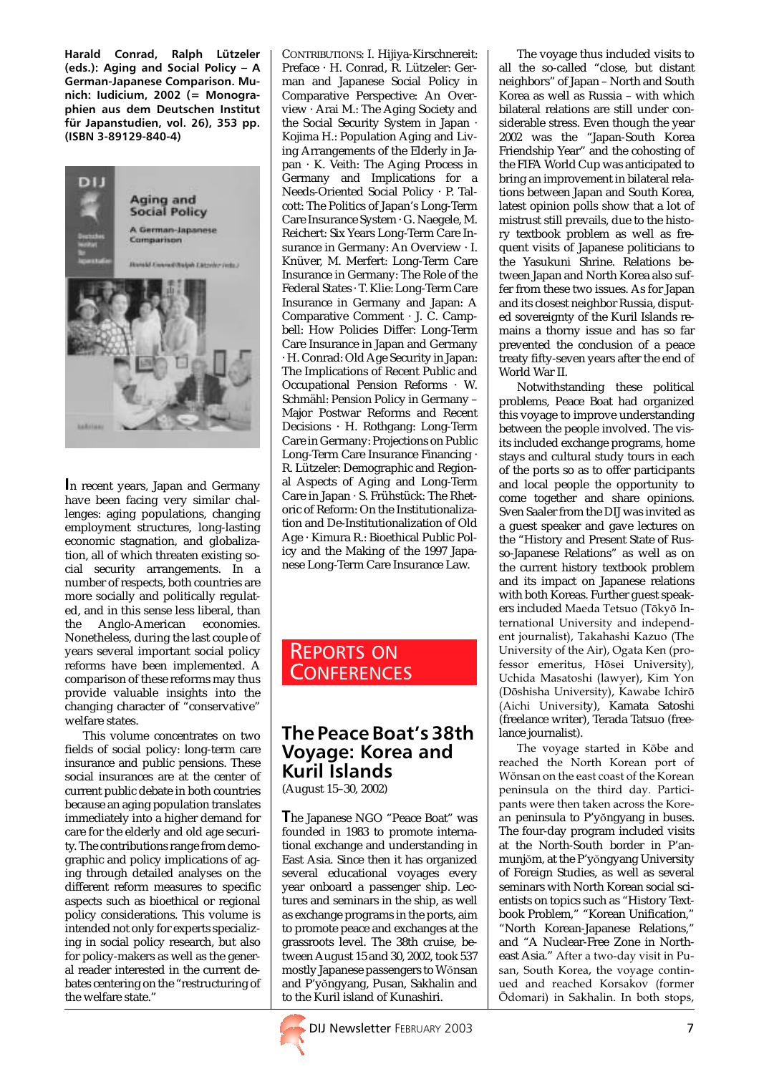Harald Conrad, Ralph Lützeler (eds.): Aging and Social Policy – A German-Japanese Comparison. Munich: Iudicium, 2002 (= Monographien aus dem Deutschen Institut für Japanstudien, vol. 26), 353 pp. (ISBN 3-89129-840-4)



In recent years, Japan and Germany have been facing very similar challenges: aging populations, changing employment structures, long-lasting economic stagnation, and globalization, all of which threaten existing social security arrangements. In a number of respects, both countries are more socially and politically regulated, and in this sense less liberal, than the Anglo-American economies. Nonetheless, during the last couple of years several important social policy reforms have been implemented. A comparison of these reforms may thus provide valuable insights into the changing character of "conservative" welfare states.

This volume concentrates on two fields of social policy: long-term care insurance and public pensions. These social insurances are at the center of current public debate in both countries because an aging population translates immediately into a higher demand for care for the elderly and old age security. The contributions range from demographic and policy implications of aging through detailed analyses on the different reform measures to specific aspects such as bioethical or regional policy considerations. This volume is intended not only for experts specializing in social policy research, but also for policy-makers as well as the general reader interested in the current debates centering on the "restructuring of the welfare state."

CONTRIBUTIONS: I. Hijiya-Kirschnereit: Preface · H. Conrad, R. Lützeler: German and Japanese Social Policy in Comparative Perspective: An Overview · Arai M.: The Aging Society and the Social Security System in Japan · Kojima H.: Population Aging and Living Arrangements of the Elderly in Japan · K. Veith: The Aging Process in Germany and Implications for a Needs-Oriented Social Policy · P. Talcott: The Politics of Japan's Long-Term Care Insurance System · G. Naegele, M. Reichert: Six Years Long-Term Care Insurance in Germany: An Overview · I. Knüver, M. Merfert: Long-Term Care Insurance in Germany: The Role of the Federal States · T. Klie: Long-Term Care Insurance in Germany and Japan: A Comparative Comment · J. C. Campbell: How Policies Differ: Long-Term Care Insurance in Japan and Germany · H. Conrad: Old Age Security in Japan: The Implications of Recent Public and Occupational Pension Reforms · W. Schmähl: Pension Policy in Germany – Major Postwar Reforms and Recent Decisions · H. Rothgang: Long-Term Care in Germany: Projections on Public Long-Term Care Insurance Financing · R. Lützeler: Demographic and Regional Aspects of Aging and Long-Term Care in Japan · S. Frühstück: The Rhetoric of Reform: On the Institutionalization and De-Institutionalization of Old Age · Kimura R.: Bioethical Public Policy and the Making of the 1997 Japanese Long-Term Care Insurance Law.

### REPORTS ON **CONFERENCES**

## The Peace Boat's 38th Voyage: Korea and Kuril Islands

(August 15–30, 2002)

The Japanese NGO "Peace Boat" was founded in 1983 to promote international exchange and understanding in East Asia. Since then it has organized several educational voyages every year onboard a passenger ship. Lectures and seminars in the ship, as well as exchange programs in the ports, aim to promote peace and exchanges at the grassroots level. The 38th cruise, between August 15 and 30, 2002, took 537 mostly Japanese passengers to Wŏnsan and P'yŏngyang, Pusan, Sakhalin and to the Kuril island of Kunashiri.



The voyage thus included visits to all the so-called "close, but distant neighbors" of Japan – North and South Korea as well as Russia – with which bilateral relations are still under considerable stress. Even though the year 2002 was the "Japan-South Korea Friendship Year" and the cohosting of the FIFA World Cup was anticipated to bring an improvement in bilateral relations between Japan and South Korea, latest opinion polls show that a lot of mistrust still prevails, due to the history textbook problem as well as frequent visits of Japanese politicians to the Yasukuni Shrine. Relations between Japan and North Korea also suffer from these two issues. As for Japan and its closest neighbor Russia, disputed sovereignty of the Kuril Islands remains a thorny issue and has so far prevented the conclusion of a peace treaty fifty-seven years after the end of World War II.

Notwithstanding these political problems, Peace Boat had organized this voyage to improve understanding between the people involved. The visits included exchange programs, home stays and cultural study tours in each of the ports so as to offer participants and local people the opportunity to come together and share opinions. Sven Saaler from the DIJ was invited as a guest speaker and gave lectures on the "History and Present State of Russo-Japanese Relations" as well as on the current history textbook problem and its impact on Japanese relations with both Koreas. Further guest speakers included Maeda Tetsuo (Tôkyô International University and independent journalist), Takahashi Kazuo (The University of the Air), Ogata Ken (professor emeritus, Hôsei University), Uchida Masatoshi (lawyer), Kim Yon (Dôshisha University), Kawabe Ichirô (Aichi University), Kamata Satoshi (freelance writer), Terada Tatsuo (freelance journalist).

The voyage started in Kôbe and reached the North Korean port of Wŏnsan on the east coast of the Korean peninsula on the third day. Participants were then taken across the Korean peninsula to P'yongyang in buses. The four-day program included visits at the North-South border in P'anmunjom, at the P'yongyang University of Foreign Studies, as well as several seminars with North Korean social scientists on topics such as "History Textbook Problem," "Korean Unification," "North Korean-Japanese Relations," and "A Nuclear-Free Zone in Northeast Asia." After a two-day visit in Pusan, South Korea, the voyage continued and reached Korsakov (former Ôdomari) in Sakhalin. In both stops,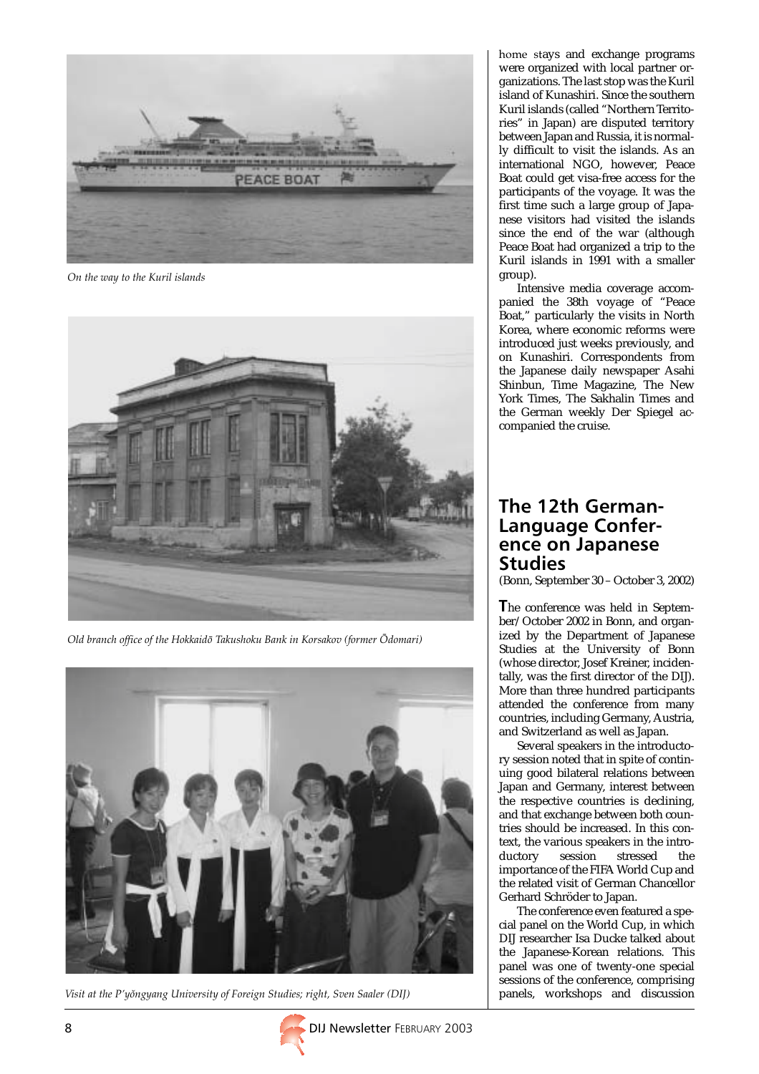

On the way to the Kuril islands



Old branch office of the Hokkaidô Takushoku Bank in Korsakov (former Ôdomari)



Visit at the P'yongyang University of Foreign Studies; right, Sven Saaler (DIJ)

home stays and exchange programs were organized with local partner organizations. The last stop was the Kuril island of Kunashiri. Since the southern Kuril islands (called "Northern Territories" in Japan) are disputed territory between Japan and Russia, it is normally difficult to visit the islands. As an international NGO, however, Peace Boat could get visa-free access for the participants of the voyage. It was the first time such a large group of Japanese visitors had visited the islands since the end of the war (although Peace Boat had organized a trip to the Kuril islands in 1991 with a smaller group).

Intensive media coverage accompanied the 38th voyage of "Peace Boat," particularly the visits in North Korea, where economic reforms were introduced just weeks previously, and on Kunashiri. Correspondents from the Japanese daily newspaper Asahi Shinbun, Time Magazine, The New York Times, The Sakhalin Times and the German weekly Der Spiegel accompanied the cruise.

### The 12th German-Language Conference on Japanese **Studies**

(Bonn, September 30 – October 3, 2002)

The conference was held in September/October 2002 in Bonn, and organized by the Department of Japanese Studies at the University of Bonn (whose director, Josef Kreiner, incidentally, was the first director of the DIJ). More than three hundred participants attended the conference from many countries, including Germany, Austria, and Switzerland as well as Japan.

Several speakers in the introductory session noted that in spite of continuing good bilateral relations between Japan and Germany, interest between the respective countries is declining, and that exchange between both countries should be increased. In this context, the various speakers in the introstressed the importance of the FIFA World Cup and the related visit of German Chancellor Gerhard Schröder to Japan.

The conference even featured a special panel on the World Cup, in which DIJ researcher Isa Ducke talked about the Japanese-Korean relations. This panel was one of twenty-one special sessions of the conference, comprising panels, workshops and discussion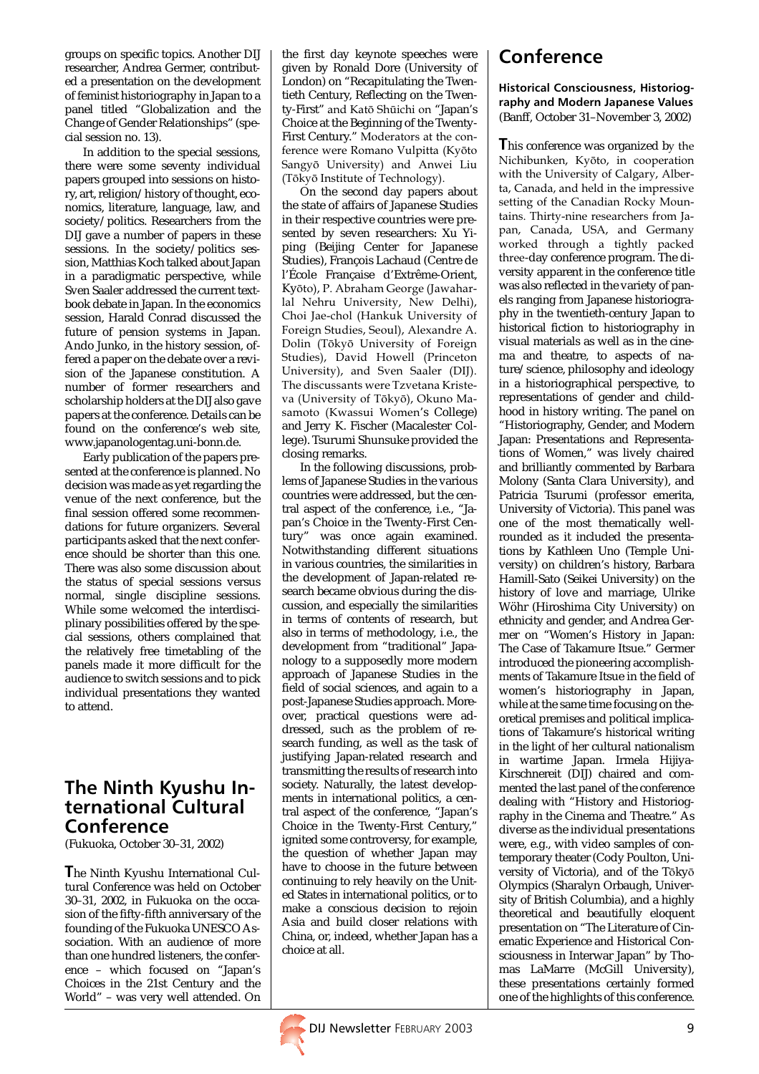groups on specific topics. Another DIJ researcher, Andrea Germer, contributed a presentation on the development of feminist historiography in Japan to a panel titled "Globalization and the Change of Gender Relationships" (special session no. 13).

In addition to the special sessions, there were some seventy individual papers grouped into sessions on history, art, religion/history of thought, economics, literature, language, law, and society/politics. Researchers from the DIJ gave a number of papers in these sessions. In the society/politics session, Matthias Koch talked about Japan in a paradigmatic perspective, while Sven Saaler addressed the current textbook debate in Japan. In the economics session, Harald Conrad discussed the future of pension systems in Japan. Ando Junko, in the history session, offered a paper on the debate over a revision of the Japanese constitution. A number of former researchers and scholarship holders at the DIJ also gave papers at the conference. Details can be found on the conference's web site, www.japanologentag.uni-bonn.de.

Early publication of the papers presented at the conference is planned. No decision was made as yet regarding the venue of the next conference, but the final session offered some recommendations for future organizers. Several participants asked that the next conference should be shorter than this one. There was also some discussion about the status of special sessions versus normal, single discipline sessions. While some welcomed the interdisciplinary possibilities offered by the special sessions, others complained that the relatively free timetabling of the panels made it more difficult for the audience to switch sessions and to pick individual presentations they wanted to attend.

### The Ninth Kyushu International Cultural Conference

(Fukuoka, October 30–31, 2002)

The Ninth Kyushu International Cultural Conference was held on October 30–31, 2002, in Fukuoka on the occasion of the fifty-fifth anniversary of the founding of the Fukuoka UNESCO Association. With an audience of more than one hundred listeners, the conference – which focused on "Japan's Choices in the 21st Century and the World" – was very well attended. On the first day keynote speeches were given by Ronald Dore (University of London) on "Recapitulating the Twentieth Century, Reflecting on the Twenty-First" and Katô Shûichi on "Japan's Choice at the Beginning of the Twenty-First Century." Moderators at the conference were Romano Vulpitta (Kyôto Sangyô University) and Anwei Liu (Tôkyô Institute of Technology).

On the second day papers about the state of affairs of Japanese Studies in their respective countries were presented by seven researchers: Xu Yiping (Beijing Center for Japanese Studies), François Lachaud (Centre de l'École Française d'Extrême-Orient, Kyôto), P. Abraham George (Jawaharlal Nehru University, New Delhi), Choi Jae-chol (Hankuk University of Foreign Studies, Seoul), Alexandre A. Dolin (Tôkyô University of Foreign Studies), David Howell (Princeton University), and Sven Saaler (DIJ). The discussants were Tzvetana Kristeva (University of Tôkyô), Okuno Masamoto (Kwassui Women's College) and Jerry K. Fischer (Macalester College). Tsurumi Shunsuke provided the closing remarks.

In the following discussions, problems of Japanese Studies in the various countries were addressed, but the central aspect of the conference, i.e., "Japan's Choice in the Twenty-First Century" was once again examined. Notwithstanding different situations in various countries, the similarities in the development of Japan-related research became obvious during the discussion, and especially the similarities in terms of contents of research, but also in terms of methodology, i.e., the development from "traditional" Japanology to a supposedly more modern approach of Japanese Studies in the field of social sciences, and again to a post-Japanese Studies approach. Moreover, practical questions were addressed, such as the problem of research funding, as well as the task of justifying Japan-related research and transmitting the results of research into society. Naturally, the latest developments in international politics, a central aspect of the conference, "Japan's Choice in the Twenty-First Century," ignited some controversy, for example, the question of whether Japan may have to choose in the future between continuing to rely heavily on the United States in international politics, or to make a conscious decision to rejoin Asia and build closer relations with China, or, indeed, whether Japan has a choice at all.

# Conference

#### Historical Consciousness, Historiography and Modern Japanese Values (Banff, October 31–November 3, 2002)

This conference was organized by the Nichibunken, Kyôto, in cooperation with the University of Calgary, Alberta, Canada, and held in the impressive setting of the Canadian Rocky Mountains. Thirty-nine researchers from Japan, Canada, USA, and Germany worked through a tightly packed three-day conference program. The diversity apparent in the conference title was also reflected in the variety of panels ranging from Japanese historiography in the twentieth-century Japan to historical fiction to historiography in visual materials as well as in the cinema and theatre, to aspects of nature/science, philosophy and ideology in a historiographical perspective, to representations of gender and childhood in history writing. The panel on "Historiography, Gender, and Modern Japan: Presentations and Representations of Women," was lively chaired and brilliantly commented by Barbara Molony (Santa Clara University), and Patricia Tsurumi (professor emerita, University of Victoria). This panel was one of the most thematically wellrounded as it included the presentations by Kathleen Uno (Temple University) on children's history, Barbara Hamill-Sato (Seikei University) on the history of love and marriage, Ulrike Wöhr (Hiroshima City University) on ethnicity and gender, and Andrea Germer on "Women's History in Japan: The Case of Takamure Itsue." Germer introduced the pioneering accomplishments of Takamure Itsue in the field of women's historiography in Japan, while at the same time focusing on theoretical premises and political implications of Takamure's historical writing in the light of her cultural nationalism in wartime Japan. Irmela Hijiya-Kirschnereit (DIJ) chaired and commented the last panel of the conference dealing with "History and Historiography in the Cinema and Theatre." As diverse as the individual presentations were, e.g., with video samples of contemporary theater (Cody Poulton, University of Victoria), and of the Tôkyô Olympics (Sharalyn Orbaugh, University of British Columbia), and a highly theoretical and beautifully eloquent presentation on "The Literature of Cinematic Experience and Historical Consciousness in Interwar Japan" by Thomas LaMarre (McGill University), these presentations certainly formed one of the highlights of this conference.

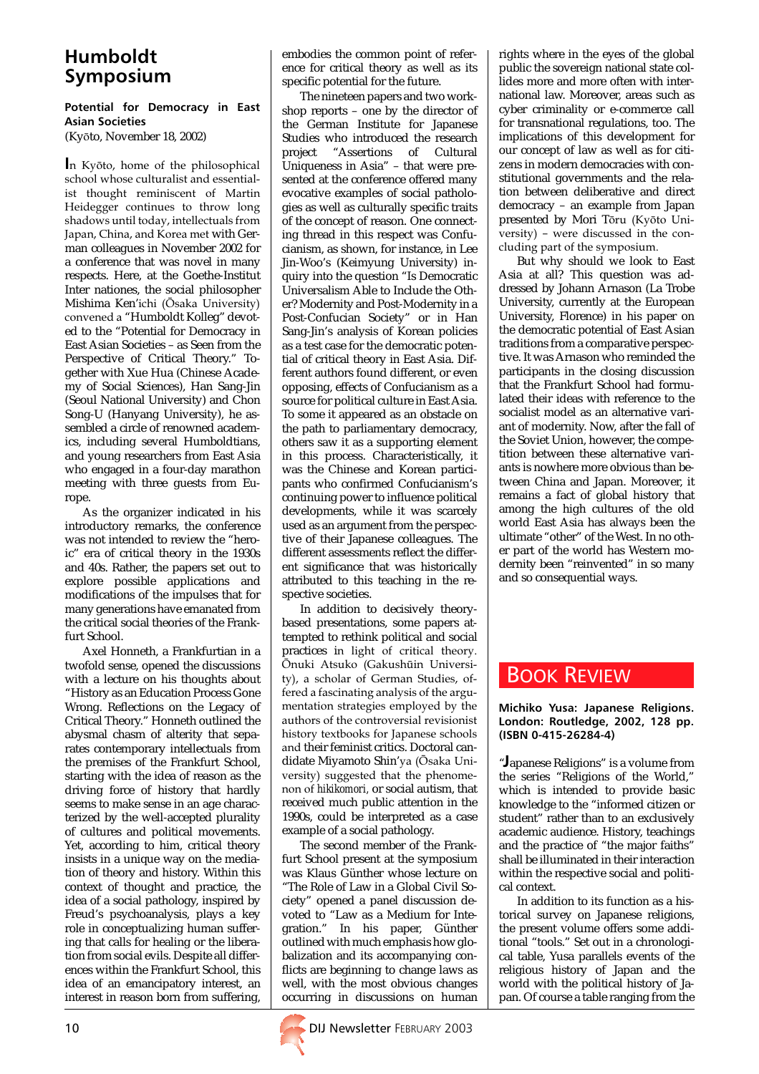## Humboldt Symposium

#### Potential for Democracy in East Asian Societies

(Kyôto, November 18, 2002)

In Kyôto, home of the philosophical school whose culturalist and essentialist thought reminiscent of Martin Heidegger continues to throw long shadows until today, intellectuals from Japan, China, and Korea met with German colleagues in November 2002 for a conference that was novel in many respects. Here, at the Goethe-Institut Inter nationes, the social philosopher Mishima Ken'ichi (Ôsaka University) convened a "Humboldt Kolleg" devoted to the "Potential for Democracy in East Asian Societies – as Seen from the Perspective of Critical Theory." Together with Xue Hua (Chinese Academy of Social Sciences), Han Sang-Jin (Seoul National University) and Chon Song-U (Hanyang University), he assembled a circle of renowned academics, including several Humboldtians, and young researchers from East Asia who engaged in a four-day marathon meeting with three guests from Europe.

As the organizer indicated in his introductory remarks, the conference was not intended to review the "heroic" era of critical theory in the 1930s and 40s. Rather, the papers set out to explore possible applications and modifications of the impulses that for many generations have emanated from the critical social theories of the Frankfurt School.

Axel Honneth, a Frankfurtian in a twofold sense, opened the discussions with a lecture on his thoughts about "History as an Education Process Gone Wrong. Reflections on the Legacy of Critical Theory." Honneth outlined the abysmal chasm of alterity that separates contemporary intellectuals from the premises of the Frankfurt School, starting with the idea of reason as the driving force of history that hardly seems to make sense in an age characterized by the well-accepted plurality of cultures and political movements. Yet, according to him, critical theory insists in a unique way on the mediation of theory and history. Within this context of thought and practice, the idea of a social pathology, inspired by Freud's psychoanalysis, plays a key role in conceptualizing human suffering that calls for healing or the liberation from social evils. Despite all differences within the Frankfurt School, this idea of an emancipatory interest, an interest in reason born from suffering,

embodies the common point of reference for critical theory as well as its specific potential for the future.

The nineteen papers and two workshop reports – one by the director of the German Institute for Japanese Studies who introduced the research<br>project "Assertions of Cultural "Assertions of Cultural Uniqueness in Asia" – that were presented at the conference offered many evocative examples of social pathologies as well as culturally specific traits of the concept of reason. One connecting thread in this respect was Confucianism, as shown, for instance, in Lee Jin-Woo's (Keimyung University) inquiry into the question "Is Democratic Universalism Able to Include the Other? Modernity and Post-Modernity in a Post-Confucian Society" or in Han Sang-Jin's analysis of Korean policies as a test case for the democratic potential of critical theory in East Asia. Different authors found different, or even opposing, effects of Confucianism as a source for political culture in East Asia. To some it appeared as an obstacle on the path to parliamentary democracy, others saw it as a supporting element in this process. Characteristically, it was the Chinese and Korean participants who confirmed Confucianism's continuing power to influence political developments, while it was scarcely used as an argument from the perspective of their Japanese colleagues. The different assessments reflect the different significance that was historically attributed to this teaching in the respective societies.

In addition to decisively theorybased presentations, some papers attempted to rethink political and social practices in light of critical theory. Ônuki Atsuko (Gakushûin University), a scholar of German Studies, offered a fascinating analysis of the argumentation strategies employed by the authors of the controversial revisionist history textbooks for Japanese schools and their feminist critics. Doctoral candidate Miyamoto Shin'ya (Ôsaka University) suggested that the phenomenon of *hikikomori,* or social autism, that received much public attention in the 1990s, could be interpreted as a case example of a social pathology.

The second member of the Frankfurt School present at the symposium was Klaus Günther whose lecture on "The Role of Law in a Global Civil Society" opened a panel discussion devoted to "Law as a Medium for Integration." In his paper, Günther outlined with much emphasis how globalization and its accompanying conflicts are beginning to change laws as well, with the most obvious changes occurring in discussions on human

rights where in the eyes of the global public the sovereign national state collides more and more often with international law. Moreover, areas such as cyber criminality or e-commerce call for transnational regulations, too. The implications of this development for our concept of law as well as for citizens in modern democracies with constitutional governments and the relation between deliberative and direct democracy – an example from Japan presented by Mori Tôru (Kyôto University) – were discussed in the concluding part of the symposium.

But why should we look to East Asia at all? This question was addressed by Johann Arnason (La Trobe University, currently at the European University, Florence) in his paper on the democratic potential of East Asian traditions from a comparative perspective. It was Arnason who reminded the participants in the closing discussion that the Frankfurt School had formulated their ideas with reference to the socialist model as an alternative variant of modernity. Now, after the fall of the Soviet Union, however, the competition between these alternative variants is nowhere more obvious than between China and Japan. Moreover, it remains a fact of global history that among the high cultures of the old world East Asia has always been the ultimate "other" of the West. In no other part of the world has Western modernity been "reinvented" in so many and so consequential ways.

### BOOK REVIEW

#### Michiko Yusa: Japanese Religions. London: Routledge, 2002, 128 pp. (ISBN 0-415-26284-4)

"Japanese Religions" is a volume from the series "Religions of the World," which is intended to provide basic knowledge to the "informed citizen or student" rather than to an exclusively academic audience. History, teachings and the practice of "the major faiths" shall be illuminated in their interaction within the respective social and political context.

In addition to its function as a historical survey on Japanese religions, the present volume offers some additional "tools." Set out in a chronological table, Yusa parallels events of the religious history of Japan and the world with the political history of Japan. Of course a table ranging from the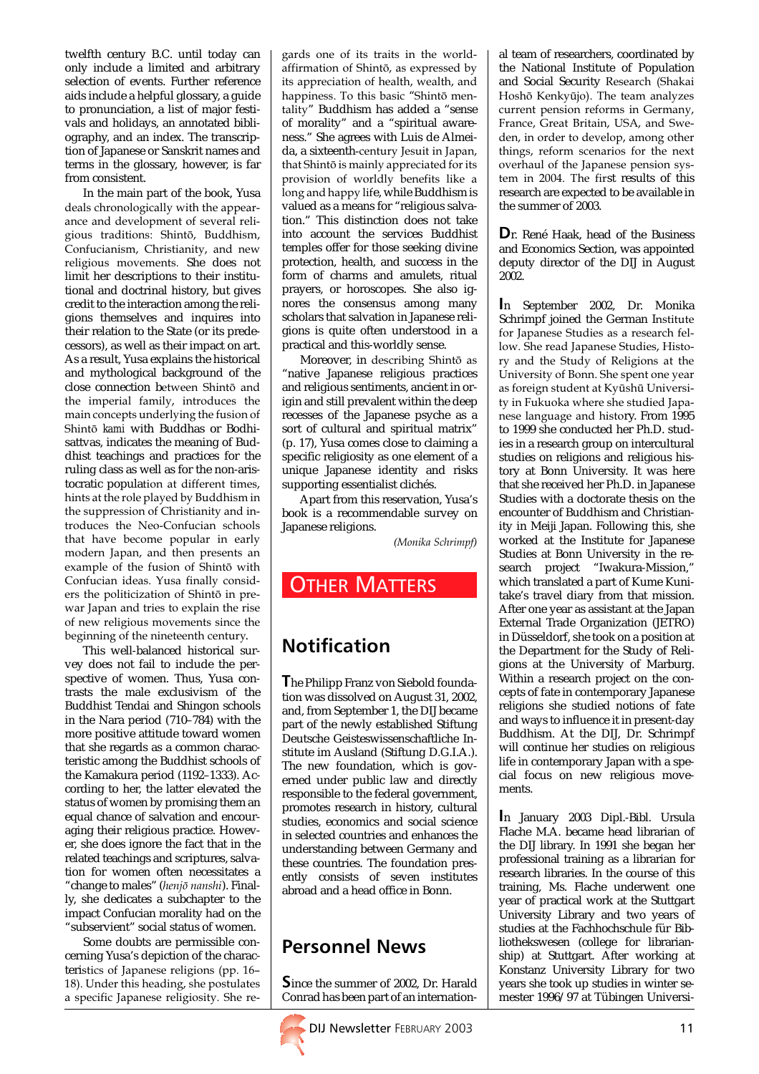twelfth century B.C. until today can only include a limited and arbitrary selection of events. Further reference aids include a helpful glossary, a guide to pronunciation, a list of major festivals and holidays, an annotated bibliography, and an index. The transcription of Japanese or Sanskrit names and terms in the glossary, however, is far from consistent.

In the main part of the book, Yusa deals chronologically with the appearance and development of several religious traditions: Shintô, Buddhism, Confucianism, Christianity, and new religious movements. She does not limit her descriptions to their institutional and doctrinal history, but gives credit to the interaction among the religions themselves and inquires into their relation to the State (or its predecessors), as well as their impact on art. As a result, Yusa explains the historical and mythological background of the close connection between Shintô and the imperial family, introduces the main concepts underlying the fusion of Shintô *kami* with Buddhas or Bodhisattvas, indicates the meaning of Buddhist teachings and practices for the ruling class as well as for the non-aristocratic population at different times, hints at the role played by Buddhism in the suppression of Christianity and introduces the Neo-Confucian schools that have become popular in early modern Japan, and then presents an example of the fusion of Shintô with Confucian ideas. Yusa finally considers the politicization of Shintô in prewar Japan and tries to explain the rise of new religious movements since the beginning of the nineteenth century.

This well-balanced historical survey does not fail to include the perspective of women. Thus, Yusa contrasts the male exclusivism of the Buddhist Tendai and Shingon schools in the Nara period (710–784) with the more positive attitude toward women that she regards as a common characteristic among the Buddhist schools of the Kamakura period (1192–1333). According to her, the latter elevated the status of women by promising them an equal chance of salvation and encouraging their religious practice. However, she does ignore the fact that in the related teachings and scriptures, salvation for women often necessitates a "change to males" (henjô nanshi). Finally, she dedicates a subchapter to the impact Confucian morality had on the "subservient" social status of women.

Some doubts are permissible concerning Yusa's depiction of the characteristics of Japanese religions (pp. 16– 18). Under this heading, she postulates a specific Japanese religiosity. She regards one of its traits in the worldaffirmation of Shintô, as expressed by its appreciation of health, wealth, and happiness. To this basic "Shintô mentality" Buddhism has added a "sense of morality" and a "spiritual awareness." She agrees with Luis de Almeida, a sixteenth-century Jesuit in Japan, that Shintô is mainly appreciated for its provision of worldly benefits like a long and happy life, while Buddhism is valued as a means for "religious salvation." This distinction does not take into account the services Buddhist temples offer for those seeking divine protection, health, and success in the form of charms and amulets, ritual prayers, or horoscopes. She also ignores the consensus among many scholars that salvation in Japanese religions is quite often understood in a practical and this-worldly sense.

Moreover, in describing Shintô as "native Japanese religious practices and religious sentiments, ancient in origin and still prevalent within the deep recesses of the Japanese psyche as a sort of cultural and spiritual matrix" (p. 17), Yusa comes close to claiming a specific religiosity as one element of a unique Japanese identity and risks supporting essentialist clichés.

Apart from this reservation, Yusa's book is a recommendable survey on Japanese religions.

(Monika Schrimpf)

### **OTHER MATTERS**

# Notification

The Philipp Franz von Siebold foundation was dissolved on August 31, 2002, and, from September 1, the DIJ became part of the newly established Stiftung Deutsche Geisteswissenschaftliche Institute im Ausland (Stiftung D.G.I.A.). The new foundation, which is governed under public law and directly responsible to the federal government, promotes research in history, cultural studies, economics and social science in selected countries and enhances the understanding between Germany and these countries. The foundation presently consists of seven institutes abroad and a head office in Bonn.

# Personnel News

Since the summer of 2002, Dr. Harald Conrad has been part of an internation-



al team of researchers, coordinated by the National Institute of Population and Social Security Research (Shakai Hoshô Kenkyûjo). The team analyzes current pension reforms in Germany, France, Great Britain, USA, and Sweden, in order to develop, among other things, reform scenarios for the next overhaul of the Japanese pension system in 2004. The first results of this research are expected to be available in the summer of 2003.

Dr. René Haak, head of the Business and Economics Section, was appointed deputy director of the DIJ in August 2002.

In September 2002, Dr. Monika Schrimpf joined the German Institute for Japanese Studies as a research fellow. She read Japanese Studies, History and the Study of Religions at the University of Bonn. She spent one year as foreign student at Kyûshû University in Fukuoka where she studied Japanese language and history. From 1995 to 1999 she conducted her Ph.D. studies in a research group on intercultural studies on religions and religious history at Bonn University. It was here that she received her Ph.D. in Japanese Studies with a doctorate thesis on the encounter of Buddhism and Christianity in Meiji Japan. Following this, she worked at the Institute for Japanese Studies at Bonn University in the research project "Iwakura-Mission," which translated a part of Kume Kunitake's travel diary from that mission. After one year as assistant at the Japan External Trade Organization (JETRO) in Düsseldorf, she took on a position at the Department for the Study of Religions at the University of Marburg. Within a research project on the concepts of fate in contemporary Japanese religions she studied notions of fate and ways to influence it in present-day Buddhism. At the DIJ, Dr. Schrimpf will continue her studies on religious life in contemporary Japan with a special focus on new religious movements.

In January 2003 Dipl.-Bibl. Ursula Flache M.A. became head librarian of the DIJ library. In 1991 she began her professional training as a librarian for research libraries. In the course of this training, Ms. Flache underwent one year of practical work at the Stuttgart University Library and two years of studies at the Fachhochschule für Bibliothekswesen (college for librarianship) at Stuttgart. After working at Konstanz University Library for two years she took up studies in winter semester 1996/97 at Tübingen Universi